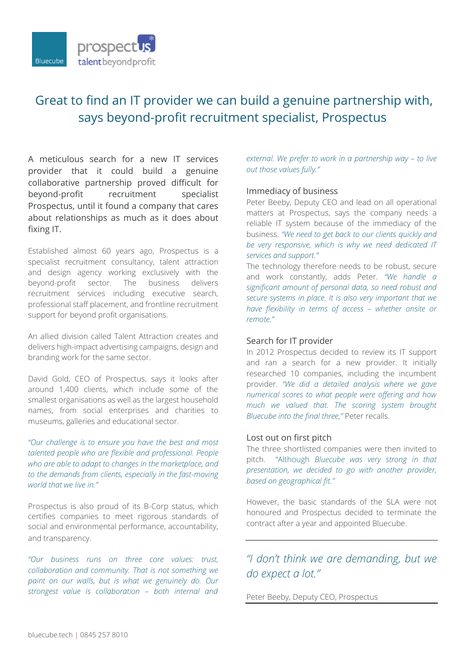

# Great to find an IT provider we can build a genuine partnership with, says beyond-profit recruitment specialist, Prospectus

A meticulous search for a new IT services provider that it could build a genuine collaborative partnership proved difficult for beyond-profit recruitment specialist Prospectus, until it found a company that cares about relationships as much as it does about fixing IT.

Established almost 60 years ago, Prospectus is a specialist recruitment consultancy, talent attraction and design agency working exclusively with the beyond-profit sector. The business delivers recruitment services including executive search, professional staff placement, and frontline recruitment support for beyond profit organisations.

An allied division called Talent Attraction creates and delivers high-impact advertising campaigns, design and branding work for the same sector.

David Gold, CEO of Prospectus, says it looks after around 1,400 clients, which include some of the smallest organisations as well as the largest household names, from social enterprises and charities to museums, galleries and educational sector.

*"Our challenge is to ensure you have the best and most talented people who are flexible and professional. People who are able to adapt to changes in the marketplace, and to the demands from clients, especially in the fast-moving world that we live in."* 

Prospectus is also proud of its B-Corp status, which certifies companies to meet rigorous standards of social and environmental performance, accountability, and transparency.

*"Our business runs on three core values: trust, collaboration and community. That is not something we paint on our walls, but is what we genuinely do. Our strongest value is collaboration – both internal and* 

*external. We prefer to work in a partnership way – to live out those values fully."*

## Immediacy of business

Peter Beeby, Deputy CEO and lead on all operational matters at Prospectus, says the company needs a reliable IT system because of the immediacy of the business. *"We need to get back to our clients quickly and be very responsive, which is why we need dedicated IT services and support."*

The technology therefore needs to be robust, secure and work constantly, adds Peter. *"We handle a significant amount of personal data, so need robust and secure systems in place. It is also very important that we have flexibility in terms of access – whether onsite or remote."*

#### Search for IT provider

In 2012 Prospectus decided to review its IT support and ran a search for a new provider. It initially researched 10 companies, including the incumbent provider. *"We did a detailed analysis where we gave numerical scores to what people were offering and how much we valued that. The scoring system brought Bluecube into the final three,"* Peter recalls.

#### Lost out on first pitch

The three shortlisted companies were then invited to pitch."Although *Bluecube was very strong in that presentation, we decided to go with another provider, based on geographical fit."* 

However, the basic standards of the SLA were not honoured and Prospectus decided to terminate the contract after a year and appointed Bluecube.

# *"I don't think we are demanding, but we do expect a lot."*

Peter Beeby, Deputy CEO, Prospectus